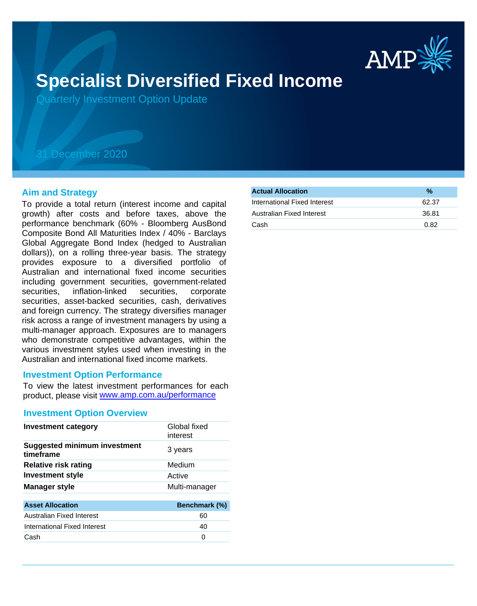

# **Specialist Diversified Fixed Income**

Quarterly Investment Option Update

## 31 December 2020

#### **Aim and Strategy**

To provide a total return (interest income and capital growth) after costs and before taxes, above the performance benchmark (60% - Bloomberg AusBond Composite Bond All Maturities Index / 40% - Barclays Global Aggregate Bond Index (hedged to Australian dollars)), on a rolling three-year basis. The strategy provides exposure to a diversified portfolio of Australian and international fixed income securities including government securities, government-related securities, inflation-linked securities, corporate securities, asset-backed securities, cash, derivatives and foreign currency. The strategy diversifies manager risk across a range of investment managers by using a multi-manager approach. Exposures are to managers who demonstrate competitive advantages, within the various investment styles used when investing in the Australian and international fixed income markets.

#### **Investment Option Performance**

product, please visit www.amp.com.au/performance To view the latest investment performances for each

#### **Investment Option Overview**

| <b>Investment category</b>                       | Global fixed<br>interest |
|--------------------------------------------------|--------------------------|
| <b>Suggested minimum investment</b><br>timeframe | 3 years                  |
| <b>Relative risk rating</b>                      | Medium                   |
| <b>Investment style</b>                          | Active                   |
| <b>Manager style</b>                             | Multi-manager            |
|                                                  |                          |
| <b>Asset Allocation</b>                          | Benchmark (%)            |

| Australian Fixed Interest    | 60 |
|------------------------------|----|
|                              |    |
| International Fixed Interest | 40 |
| Cash                         |    |

| <b>Actual Allocation</b>     | %     |
|------------------------------|-------|
| International Fixed Interest | 62.37 |
| Australian Fixed Interest    | 36.81 |
| Cash                         | 0.82  |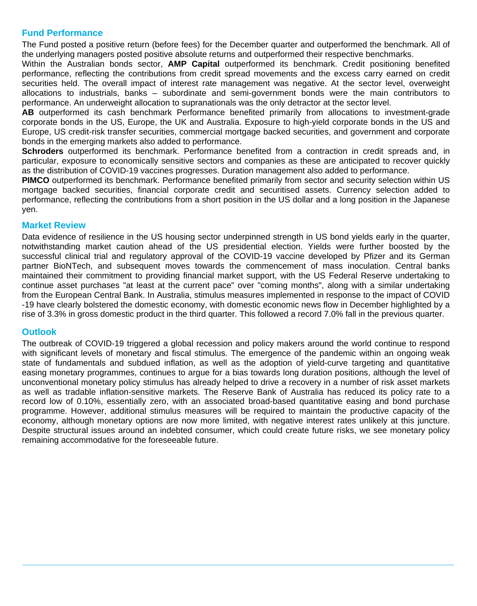### **Fund Performance**

The Fund posted a positive return (before fees) for the December quarter and outperformed the benchmark. All of the underlying managers posted positive absolute returns and outperformed their respective benchmarks.

Within the Australian bonds sector, **AMP Capital** outperformed its benchmark. Credit positioning benefited performance, reflecting the contributions from credit spread movements and the excess carry earned on credit securities held. The overall impact of interest rate management was negative. At the sector level, overweight allocations to industrials, banks – subordinate and semi-government bonds were the main contributors to performance. An underweight allocation to supranationals was the only detractor at the sector level.

**AB** outperformed its cash benchmark Performance benefited primarily from allocations to investment-grade corporate bonds in the US, Europe, the UK and Australia. Exposure to high-yield corporate bonds in the US and Europe, US credit-risk transfer securities, commercial mortgage backed securities, and government and corporate bonds in the emerging markets also added to performance.

**Schroders** outperformed its benchmark. Performance benefited from a contraction in credit spreads and, in particular, exposure to economically sensitive sectors and companies as these are anticipated to recover quickly as the distribution of COVID-19 vaccines progresses. Duration management also added to performance.

**PIMCO** outperformed its benchmark. Performance benefited primarily from sector and security selection within US mortgage backed securities, financial corporate credit and securitised assets. Currency selection added to performance, reflecting the contributions from a short position in the US dollar and a long position in the Japanese yen.

#### **Market Review**

Data evidence of resilience in the US housing sector underpinned strength in US bond yields early in the quarter, notwithstanding market caution ahead of the US presidential election. Yields were further boosted by the successful clinical trial and regulatory approval of the COVID-19 vaccine developed by Pfizer and its German partner BioNTech, and subsequent moves towards the commencement of mass inoculation. Central banks maintained their commitment to providing financial market support, with the US Federal Reserve undertaking to continue asset purchases "at least at the current pace" over "coming months", along with a similar undertaking from the European Central Bank. In Australia, stimulus measures implemented in response to the impact of COVID -19 have clearly bolstered the domestic economy, with domestic economic news flow in December highlighted by a rise of 3.3% in gross domestic product in the third quarter. This followed a record 7.0% fall in the previous quarter.

#### **Outlook**

The outbreak of COVID-19 triggered a global recession and policy makers around the world continue to respond with significant levels of monetary and fiscal stimulus. The emergence of the pandemic within an ongoing weak state of fundamentals and subdued inflation, as well as the adoption of yield-curve targeting and quantitative easing monetary programmes, continues to argue for a bias towards long duration positions, although the level of unconventional monetary policy stimulus has already helped to drive a recovery in a number of risk asset markets as well as tradable inflation-sensitive markets. The Reserve Bank of Australia has reduced its policy rate to a record low of 0.10%, essentially zero, with an associated broad-based quantitative easing and bond purchase programme. However, additional stimulus measures will be required to maintain the productive capacity of the economy, although monetary options are now more limited, with negative interest rates unlikely at this juncture. Despite structural issues around an indebted consumer, which could create future risks, we see monetary policy remaining accommodative for the foreseeable future.